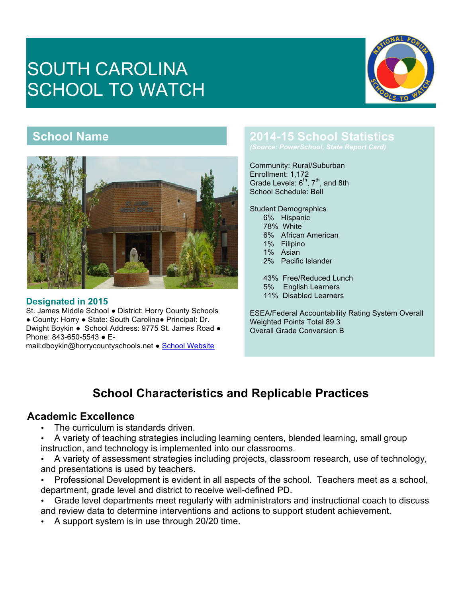# SOUTH CAROLINA SCHOOL TO WATCH



## **School Name**



#### **Designated in 2015**

St. James Middle School ● District: Horry County Schools ● County: Horry ● State: South Carolina● Principal: Dr. Dwight Boykin ● School Address: 9775 St. James Road ● Phone: 843-650-5543 ● Email:dboykin@horrycountyschools.net ● School Website

## **2014-15 School Statistics**

Community: Rural/Suburban

Enrollment: 1,172 Grade Levels:  $6<sup>th</sup>$ ,  $7<sup>th</sup>$ , and 8th School Schedule: Bell

Student Demographics

- 6% Hispanic
- 78% White 6% African American
- 1% Filipino
- 1% Asian
- 2% Pacific Islander

43% Free/Reduced Lunch 5% English Learners 11% Disabled Learners

ESEA/Federal Accountability Rating System Overall Weighted Points Total 89.3 Overall Grade Conversion B

## **School Characteristics and Replicable Practices**

#### **Academic Excellence**

- The curriculum is standards driven.
- A variety of teaching strategies including learning centers, blended learning, small group instruction, and technology is implemented into our classrooms.
- A variety of assessment strategies including projects, classroom research, use of technology, and presentations is used by teachers.
- Professional Development is evident in all aspects of the school. Teachers meet as a school, department, grade level and district to receive well-defined PD.
- Grade level departments meet regularly with administrators and instructional coach to discuss and review data to determine interventions and actions to support student achievement.
- A support system is in use through 20/20 time.